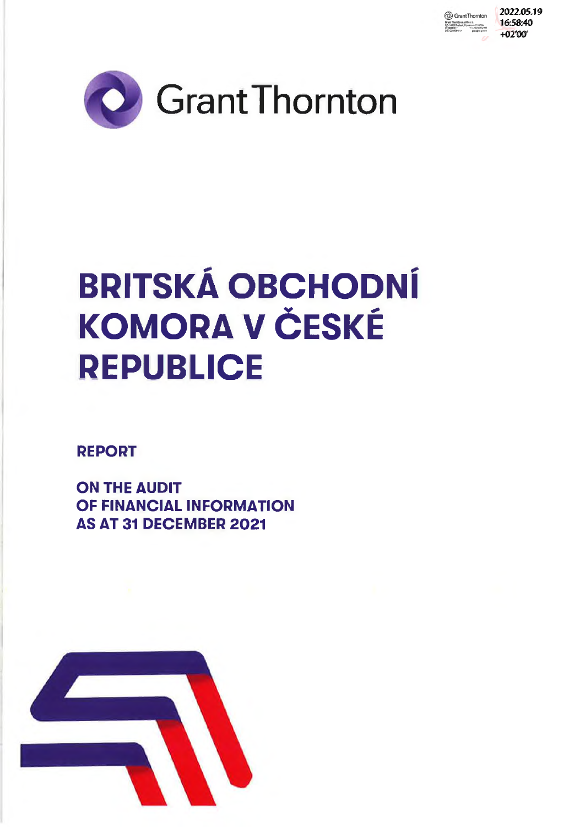





# **BRITSKÁ OBCHODNÍ KOMORA V ČESKÉ REPUBLICE**

**REPORT**

**ON THE AUDIT OF FINANCIAL INFORMATION AS AT 31 DECEMBER 2021**

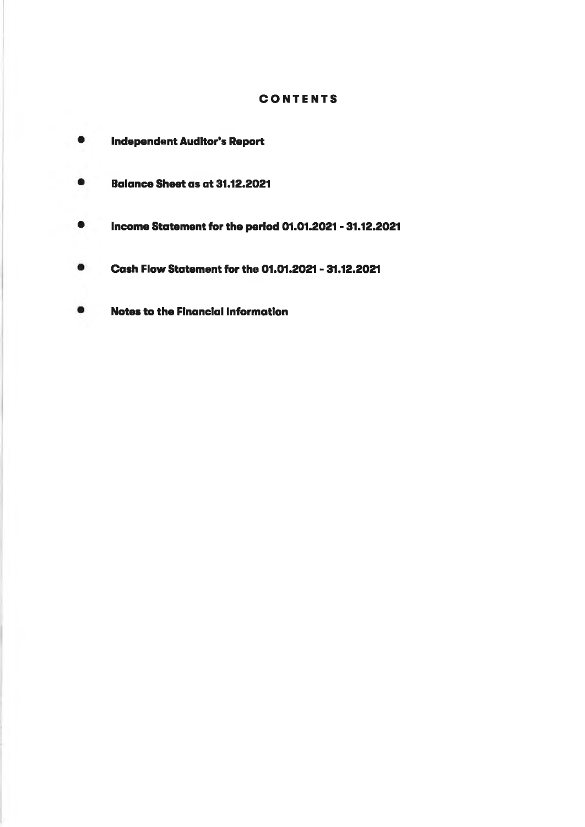# **CONTENTS**

- **Independent Audltor's Report**  $\bullet$
- **Balance Sheet as at 31.12.2021**  $\qquad \qquad \bullet$
- **Income Statement far the period 01.01.2021 - 31.12.2021**  $\bullet$
- $\qquad \qquad \bullet$ **Cash Flow Statement for the 01.01.2021 - 31.12.2021**
- $\bullet$ **Notes to the Financial Information**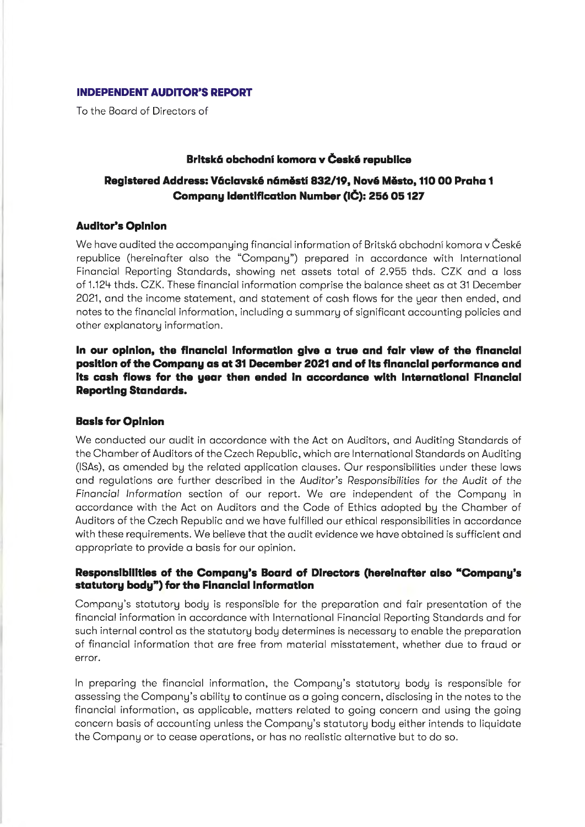# **INDEPENDENT AUDITOR'S REPORT**

To the Board of Directors of

# **Britská obchodní komora v eská republice**

# **Registered Address: Václavské nám stí 832/19, Nové M sto, 110 00 Praha <sup>1</sup> Company Identification Number (I ): 256 05127**

# **Auditor\*s Oplnlon**

We have audited the accompanying financial information of Britská obchodní komora v České republice (hereinafter also the "Company") prepared in accordance with International Financial Reporting Standards, showing net assets total of 2.955 thds. CZK and a loss of 1.124 thds. CZK. These financial information comprise the balance sheet as at <sup>31</sup> December 2021, and the income statement, and statement of cash flows for the year then ended, and notes to the financial information, including a summary of significant accounting policies and other explanatory information.

**In our oplnlon, the financial Information glve a true and fair vlew of the financial posltlon of the Company as at 31 December 2021 and of Its financial performance and Its cash flows for the year then ended In accordance wlth International Financial Reporting Standards.**

# **Basis for Oplnlon**

We conducted our audit in accordance with the Act on Auditors, and Auditing Standards of the Chamber of Auditors of the Czech Republic, which are International Standards on Auditing (ISAs), as amended by the related application clauses. Our responsibilities under these laws and regulations are further described in the Audítor's *Responsibilities for* the Audit *of the Financial Information* section of our report. We are independent of the Company in accordance with the Act on Auditors and the Code of Ethics adopted by the Chamber of Auditors of the Czech Republic and we have fulfilled our ethical responsibilities in accordance with these requirements. We believe that the audit evidence we have obtained is sufficient and appropriate to provide a basis for our opinion.

# **Responsibilities of the Company\*s Board of Directors (hereinafter also "Company's statutory body") for the Financial Information**

Company's statutory body is responsible for the preparation and fair presentation of the financial information in accordance with International Financial Reporting Standards and for such internal control as the statutory body determines is necessary to enable the preparation of financial information that are free from materiál misstatement, whether due to fraud or error.

In preparing the financial information, the Company's statutory body is responsible for assessing the Company'<sup>s</sup> ability to continue as a going concern, disclosing in the notes to the financial information, as applicable, matters related to going concern and using the going concern basis of accounting unless the Company'<sup>s</sup> statutory body either intends to liquidate the Company or to cease operations, or has no realistic alternative but to do so.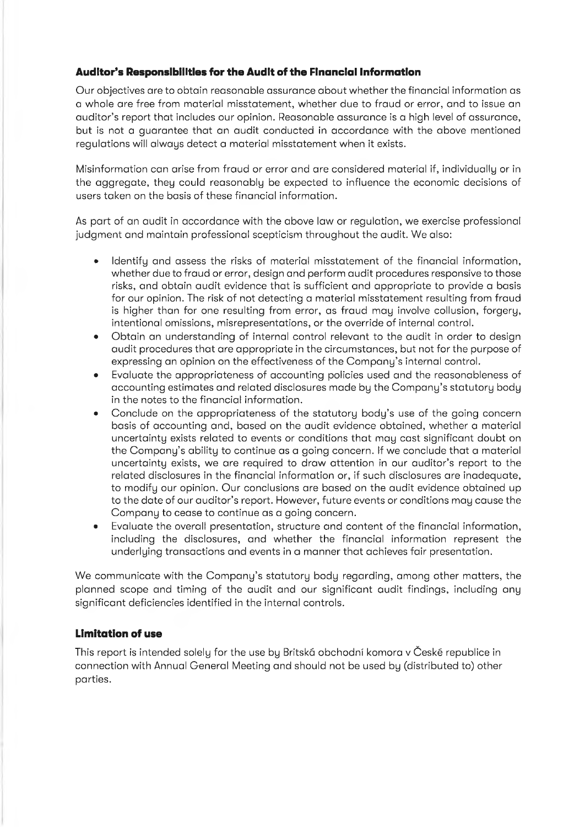# **Audltor's Responsibllitles for the Audit of the Financial Information**

Our objectives are to obtain reasonable assurance obout whether the financial information as a whole are free from materiál misstatement, whether due to fraud or error, and to issue an auditor'<sup>s</sup> report that includes our opinion. Reasonable assurance is a high level of assurance, but is not a guarantee that an audit conducted in accordance with the above mentioned regulations will always detect a material misstatement when it exists.

Misinformation can arise from fraud or error and are considered materiál if, individually or in the aggregate, they could reasonably be expected to influence the economic decisions of users taken on the basis of these financial information.

As part of an audit in accordance with the above law or regulation, we exercise professional judgment and maintain professional scepticism throughout the audit. We also:

- Identify and assess the risks of material misstatement of the financial information, whether due to fraud or error, design and perform audit procedures responsive to those risks, and obtain audit evidence that is sufficient and appropriate to provide a basis for our opinion. The risk of not detecting a material misstatement resulting from fraud is higher than for one resulting from error, as fraud may involve collusion, forgery, intentional omissions, misrepresentations, or the override of internal control.
- Obtain an understanding of internal control relevant to the audit in order to design audit procedures that are appropriate in the circumstances, but not for the purpose of expressing an opinion on the effectiveness of the Company'<sup>s</sup> internal control.
- Evaluate the appropriateness of accounting policies ušed and the reasonableness of accounting estimates and related disclosures made by the Company'<sup>s</sup> statutory body in the notes to the financial information.
- Conclude on the appropriateness of the statutory body's use of the going concern basis of accounting and, based on the audit evidence obtained, whether a materiál uncertainty exists related to events or conditions that may cast significant doubt on the Company'<sup>s</sup> ability to continue as a going concern. If we conclude that a materiál uncertainty exists, we are required to draw attention in our auditor'<sup>s</sup> report to the related disclosures in the financial information or, if such disclosures are inadequate, to modify our opinion. Our conclusions are based on the audit evidence obtained up to the dáte of our auditor's report. However, future events or conditions may cause the Company to cease to continue as a going concern.
- Evaluate the overall presentation, structure and content of the financial information, including the disclosures, and whether the financial information represent the underlying transactions and events in a manner that achieves fair presentation.

We communicate with the Company's statutory body regarding, among other matters, the planned scope and timing of the audit and our significant audit findings, including any significant deficiencies identified in the internal controls.

# **Llmitatlon of use**

This report is intended solely for the use by Britská obchodní komora v České republice in connection with Annual General Meeting and should not be ušed by (distributed to) other parties.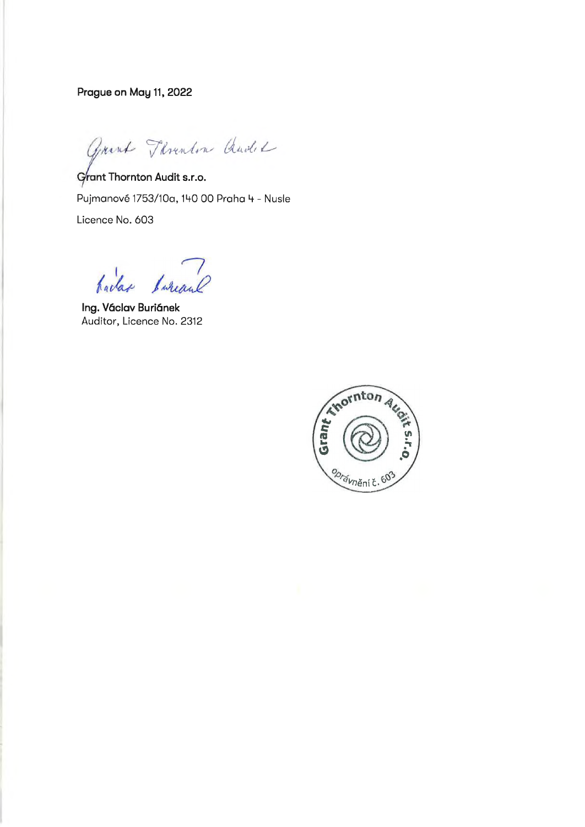**Prague on May 11, 2022**

Grant Threndon Cadil

**ant Thornton Audit s.r.o.** Pujmanové 1753/10a, <sup>1</sup>40 00 Praha 4 - Nusle Licence No. 603

farea hadas

**Ing. Václav Buriánek** Auditor, Licence No. 2312

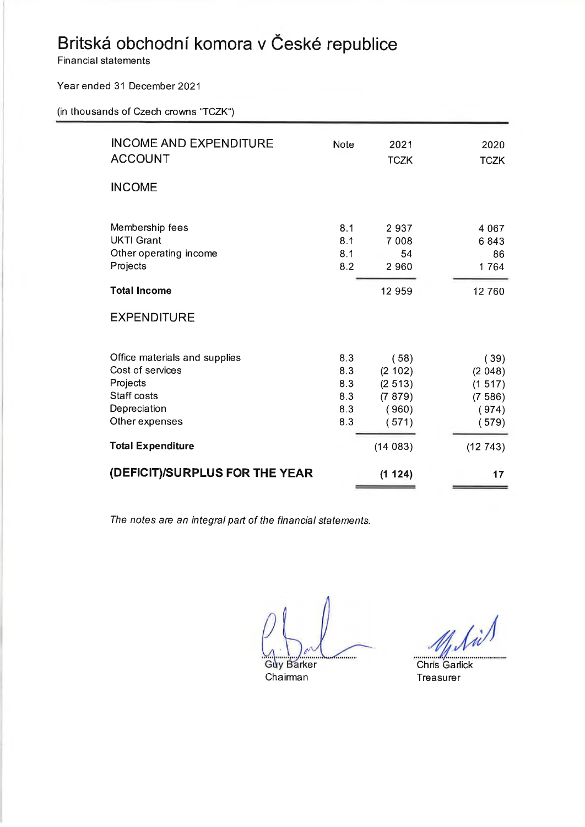Financial statements

# Year ended 31 December 2021

# (in thousands of Czech crowns "TCZK")

| <b>INCOME AND EXPENDITURE</b><br><b>ACCOUNT</b>                                                                | Note                                   | 2021<br><b>TCZK</b>                                   | 2020<br><b>TCZK</b>                                  |
|----------------------------------------------------------------------------------------------------------------|----------------------------------------|-------------------------------------------------------|------------------------------------------------------|
| <b>INCOME</b>                                                                                                  |                                        |                                                       |                                                      |
| Membership fees<br><b>UKTI Grant</b><br>Other operating income<br>Projects                                     | 8.1<br>8.1<br>8.1<br>8.2               | 2937<br>7 0 0 8<br>54<br>2960                         | 4 0 6 7<br>6843<br>86<br>1764                        |
| <b>Total Income</b>                                                                                            |                                        | 12 959                                                | 12760                                                |
| <b>EXPENDITURE</b>                                                                                             |                                        |                                                       |                                                      |
| Office materials and supplies<br>Cost of services<br>Projects<br>Staff costs<br>Depreciation<br>Other expenses | 8.3<br>8.3<br>8.3<br>8.3<br>8.3<br>8.3 | (58)<br>(2 102)<br>(2513)<br>(7879)<br>(960)<br>(571) | (39)<br>(2048)<br>(1517)<br>(7586)<br>(974)<br>(579) |
| <b>Total Expenditure</b>                                                                                       |                                        | (14083)                                               | (12743)                                              |
| (DEFICIT)/SURPLUS FOR THE YEAR                                                                                 |                                        | (1124)                                                | 17                                                   |

*The notes are an integrál part ofthe financial statements.*

**Guy Barker Chairman** 

Chris Garlick Treasurer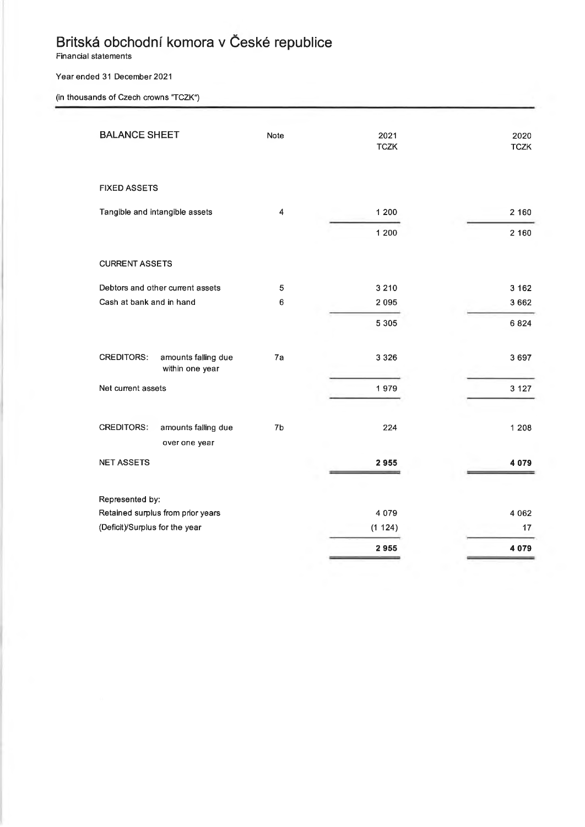Financial statements

### Year ended 31 December 2021

| <b>BALANCE SHEET</b>              |                                        | Note           | 2021<br><b>TCZK</b> | 2020<br><b>TCZK</b> |
|-----------------------------------|----------------------------------------|----------------|---------------------|---------------------|
| <b>FIXED ASSETS</b>               |                                        |                |                     |                     |
| Tangible and intangible assets    |                                        | $\overline{4}$ | 1 200               | 2 160               |
|                                   |                                        |                | 1 200               | 2 160               |
| <b>CURRENT ASSETS</b>             |                                        |                |                     |                     |
| Debtors and other current assets  |                                        | 5              | 3 2 1 0             | 3 1 6 2             |
| Cash at bank and in hand          |                                        | 6              | 2 0 9 5             | 3662                |
|                                   |                                        |                | 5 3 0 5             | 6824                |
| <b>CREDITORS:</b>                 | amounts falling due<br>within one year | 7a             | 3 3 2 6             | 3 6 9 7             |
| Net current assets                |                                        |                | 1979                | 3 1 2 7             |
| <b>CREDITORS:</b>                 | amounts falling due<br>over one year   | 7b             | 224                 | 1 2 0 8             |
| <b>NET ASSETS</b>                 |                                        |                | 2955                | 4 0 7 9             |
| Represented by:                   |                                        |                |                     |                     |
| Retained surplus from prior years |                                        |                | 4 0 7 9             | 4 0 6 2             |
| (Deficit)/Surplus for the year    |                                        |                | (1124)              | 17                  |
|                                   |                                        |                | 2955                | 4 0 7 9             |
|                                   |                                        |                |                     |                     |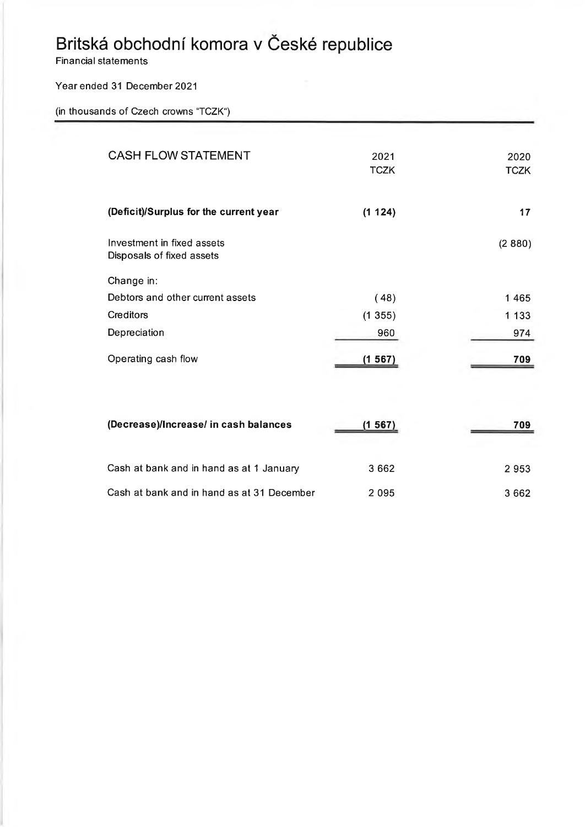Financial statements

# Year ended 31 December 2021

| <b>CASH FLOW STATEMENT</b>                 | 2021        | 2020        |
|--------------------------------------------|-------------|-------------|
|                                            | <b>TCZK</b> | <b>TCZK</b> |
|                                            |             |             |
| (Deficit)/Surplus for the current year     | (1124)      | 17          |
| Investment in fixed assets                 |             |             |
| Disposals of fixed assets                  |             | (2880)      |
| Change in:                                 |             |             |
| Debtors and other current assets           | (48)        | 1465        |
| Creditors                                  | (1355)      | 1 1 3 3     |
| Depreciation                               | 960         | 974         |
| Operating cash flow                        | (1567)      | 709         |
|                                            |             |             |
|                                            |             |             |
| (Decrease)/Increase/ in cash balances      | (1567)      | 709         |
|                                            |             |             |
| Cash at bank and in hand as at 1 January   | 3 6 6 2     | 2953        |
|                                            |             |             |
| Cash at bank and in hand as at 31 December | 2 0 9 5     | 3662        |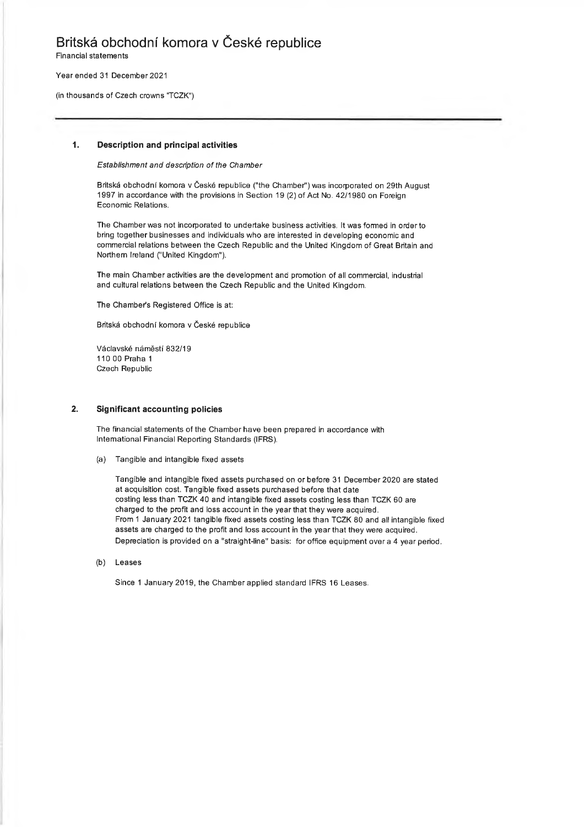Financial statements

Year ended 31 December 2021

(in thousands of Czech crowns "TCZK")

#### **1. Description and principál activities**

*Establishment and description of the Chamber*

Britská obchodní komora v České republice ("the Chamber") was incorporated on 29th August 1997 in accordance with the provisions in Section 19 (2) of Act No. 42/1980 on Foreign Economic Relations.

The Chamber was not incorporated to undertake business activities. It was formed in order to bring together businesses and individuals who are interested in developing economic and commercial relations between the Czech Republic and the United Kingdom of Great Britain and Northern Ireland ("United Kingdom").

The main Chamber activities are the development and promotion of all commercial, industrial and cultural relations between the Czech Republic and the United Kingdom.

The Chamber's Registered Office is at:

Britská obchodní komora v České republice

Václavské náměstí 832/19 110 00 Praha <sup>1</sup> Czech Republic

#### **2. Significant accounting policies**

The financial statements of the Chamber have been prepared in accordance with International Financial Reporting Standards (IFRS).

(a) Tangible and intangible fixed assets

Tangible and intangible fixed assets purchased on or before 31 December 2020 are stated at acquisition cost. Tangible fixed assets purchased before that dáte costing less than TCZK 40 and intangible fixed assets costing less than TCZK 60 are charged to the profit and loss account in the yearthat they were acquired. From <sup>1</sup> January 2021 tangible fixed assets costing less than TCZK 80 and all intangible fixed assets are charged to the profit and loss account in the yearthat they were acquired. Depreciation is provided on a "straight-line" basis: for Office equipment over a 4 year period.

(b) Leases

Since <sup>1</sup> January 2019, the Chamber applied standard IFRS 16 Leases.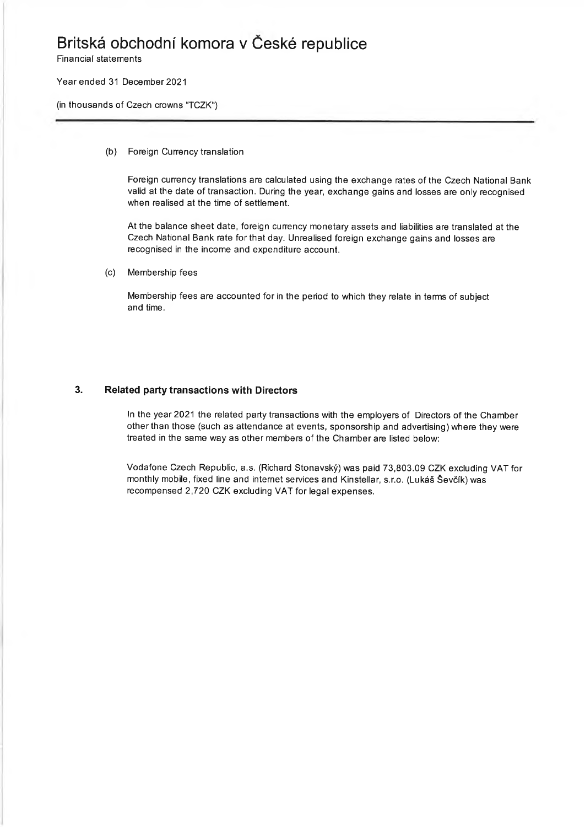Financial statements

Year ended 31 December 2021

(in thousands of Czech crowns "TCZK")

#### (b) Foreign Currency translation

Foreign currency translations are calculated using the exchange rates of the Czech National Bank valid at the dáte of transaction. During the year, exchange gains and losses are only recognised when realised at the time of settlement.

At the balance sheet dáte, foreign currency monetary assets and liabilities are translated at the Czech National Bank rate for that day. Unrealised foreign exchange gains and losses are recognised in the income and expenditure account.

(c) Membership fees

Membership fees are accounted for in the period to which they relate in terrns of subject and time.

## **3. Related party transactions with Directors**

In the year 2021 the related party transactions with the employers of Directors of the Chamber other than those (such as attendance at events, sponsorship and advertising) where they were treated in the same way as other members of the Chamber are listed below:

Vodafone Czech Republic, a.s. (Richard Stonavský) was paid 73,803.09 CZK excluding VAT for monthly mobile, fixed line and internet services and Kinstellar, s.r.o. (Lukáš Ševčík) was recompensed 2,720 CZK excluding VAT for legal expenses.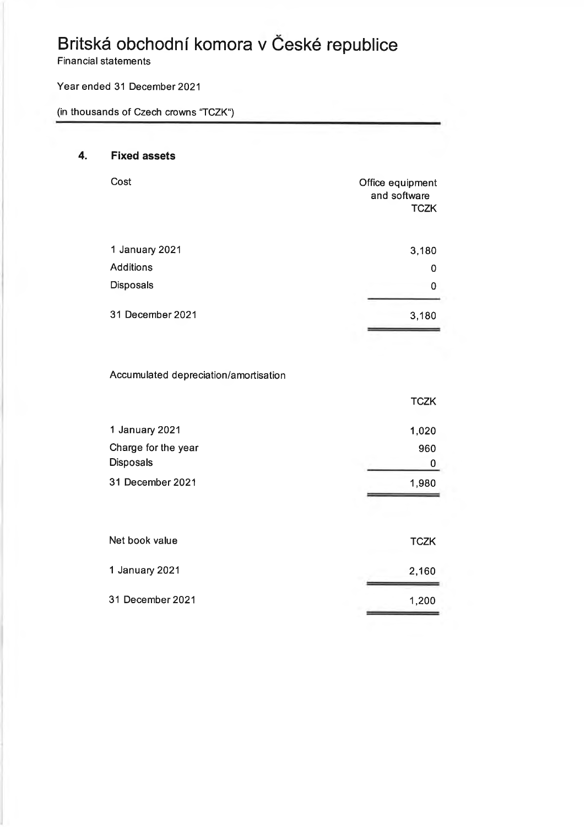Financial statements

# Yearended 31 December 2021

# (in thousands of Czech crowns "TCZK")

# **4. Fixed assets**

| Cost             | Office equipment<br>and software<br><b>TCZK</b> |
|------------------|-------------------------------------------------|
| 1 January 2021   | 3,180                                           |
| <b>Additions</b> | 0                                               |
| <b>Disposals</b> | 0                                               |
| 31 December 2021 | 3,180                                           |

## Accumulated depreciation/amortisation

|                                  | <b>TCZK</b> |
|----------------------------------|-------------|
| 1 January 2021                   | 1,020       |
| Charge for the year<br>Disposals | 960<br>0    |
| 31 December 2021                 | 1,980       |
|                                  |             |
| Net book value                   | <b>TCZK</b> |
| 1 January 2021                   | 2,160       |
| 31 December 2021                 | 1,200       |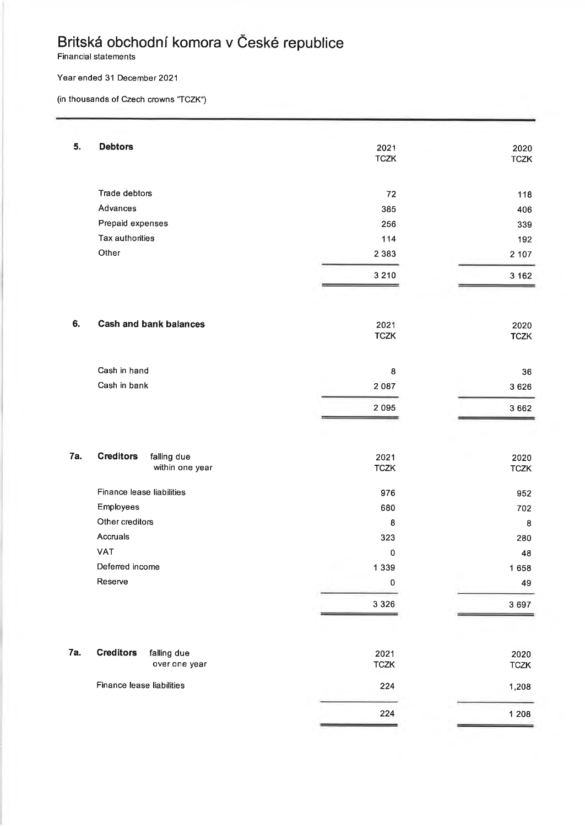Financial statements

### Year ended 31 December 2021

| 5.         | <b>Debtors</b>                                     | 2021<br><b>TCZK</b> | 2020<br><b>TCZK</b> |
|------------|----------------------------------------------------|---------------------|---------------------|
|            | Trade debtors                                      | 72                  | 118                 |
|            | Advances                                           | 385                 | 406                 |
|            | Prepaid expenses                                   | 256                 | 339                 |
|            | Tax authorities                                    | 114                 | 192                 |
|            | Other                                              | 2 3 8 3             | 2 107               |
|            |                                                    | 3 2 1 0             | 3 1 6 2             |
| 6.         | <b>Cash and bank balances</b>                      | 2021                | 2020                |
|            |                                                    | <b>TCZK</b>         | <b>TCZK</b>         |
|            | Cash in hand                                       | 8                   | 36                  |
|            | Cash in bank                                       | 2 0 8 7             | 3626                |
|            |                                                    | 2 0 9 5             | 3 6 6 2             |
|            |                                                    |                     |                     |
| <b>7a.</b> | <b>Creditors</b><br>falling due<br>within one year | 2021<br><b>TCZK</b> | 2020<br><b>TCZK</b> |
|            | Finance lease liabilities                          | 976                 | 952                 |
|            | Employees                                          | 680                 | 702                 |
|            | Other creditors                                    | 8                   | 8                   |
|            | Accruals                                           | 323                 | 280                 |
|            | <b>VAT</b>                                         | $\pmb{0}$           | 48                  |
|            | Deferred income                                    | 1 3 3 9             | 1658                |
|            | Reserve                                            | 0                   | 49                  |
|            |                                                    | 3 3 2 6             | 3 6 9 7             |
| <b>7a.</b> | <b>Creditors</b><br>falling due                    | 2021                | 2020                |
|            | over one year                                      | <b>TCZK</b>         | <b>TCZK</b>         |
|            | Finance lease liabilities                          | 224                 | 1,208               |
|            |                                                    | 224                 | 1 2 0 8             |
|            |                                                    |                     |                     |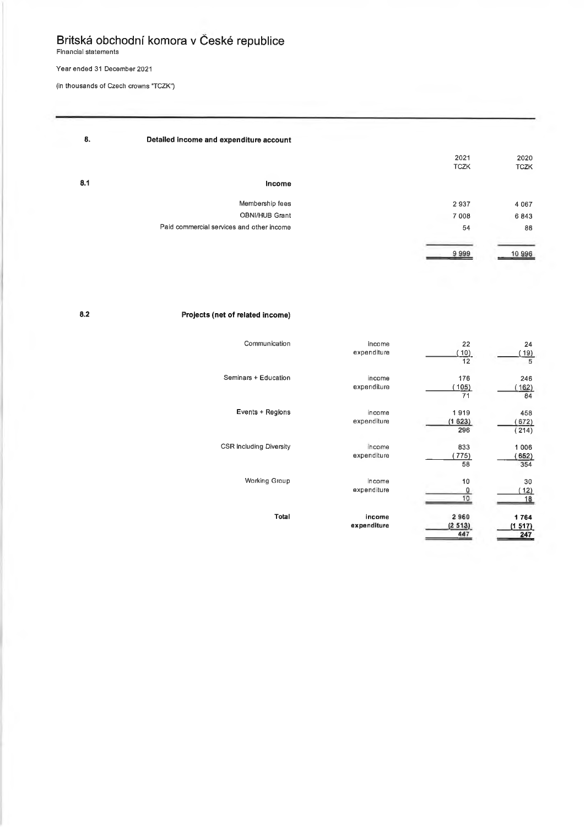Financial statements

Year ended 31 December 2021

| 8.  | Detailed income and expenditure account   |                     |                     |
|-----|-------------------------------------------|---------------------|---------------------|
|     |                                           | 2021<br><b>TCZK</b> | 2020<br><b>TCZK</b> |
| 8.1 | <b>Income</b>                             |                     |                     |
|     | Membership fees                           | 2937                | 4 0 6 7             |
|     | OBNI/HUB Grant                            | 7 0 0 8             | 6843                |
|     | Paid commercial services and other income | 54                  | 86                  |
|     |                                           | 9999                | 10 996              |

| 8.2 | Projects (net of related income) |                       |                       |                        |
|-----|----------------------------------|-----------------------|-----------------------|------------------------|
|     | Communication                    | income<br>expenditure | 22<br>(10)            | 24<br>(19)             |
|     | Seminars + Education             | income<br>expenditure | 12<br>176<br>(105)    | 5<br>246<br>162)       |
|     | Events + Regions                 | income                | 71<br>1919            | 84<br>458              |
|     |                                  | expenditure           | (1623)<br>296         | (672)<br>(214)         |
|     | <b>CSR including Diversity</b>   | income<br>expenditure | 833<br>(775)<br>58    | 1 0 0 6<br>652)<br>354 |
|     | Working Group                    | income<br>expenditure | 10                    | 30<br>12)<br>18        |
|     | Total                            | income<br>expenditure | 2960<br>(2513)<br>447 | 1764<br>(1517)<br>247  |